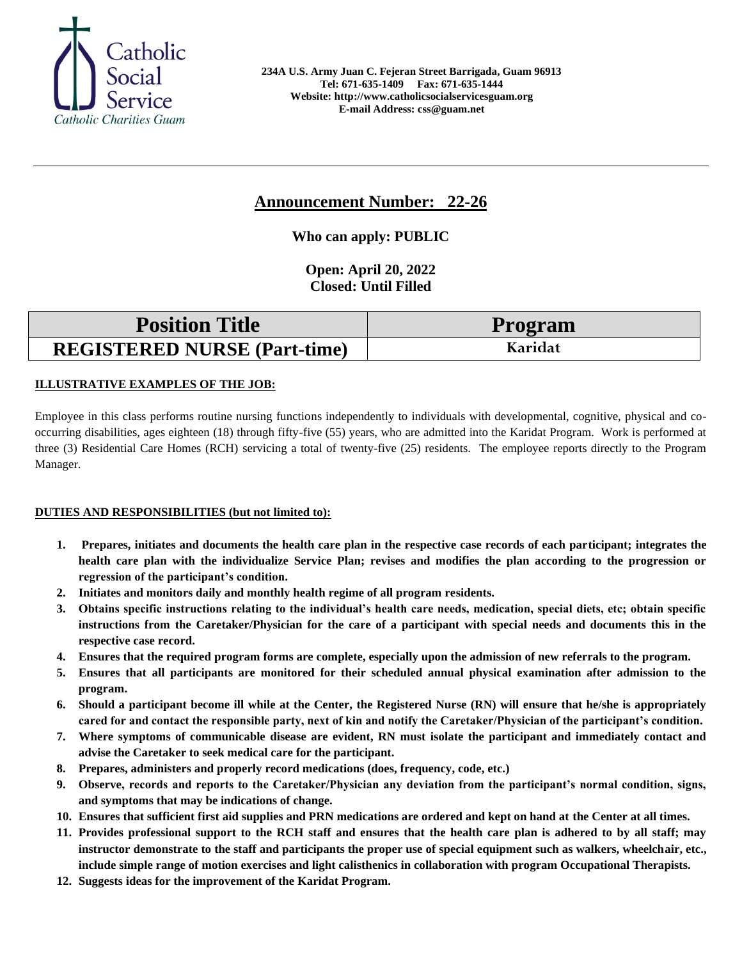

# **Announcement Number: 22-26**

**Who can apply: PUBLIC**

**Open: April 20, 2022 Closed: Until Filled** 

| <b>Position Title</b>               | Program |
|-------------------------------------|---------|
| <b>REGISTERED NURSE (Part-time)</b> | Karidat |

## **ILLUSTRATIVE EXAMPLES OF THE JOB:**

Employee in this class performs routine nursing functions independently to individuals with developmental, cognitive, physical and cooccurring disabilities, ages eighteen (18) through fifty-five (55) years, who are admitted into the Karidat Program. Work is performed at three (3) Residential Care Homes (RCH) servicing a total of twenty-five (25) residents. The employee reports directly to the Program Manager.

### **DUTIES AND RESPONSIBILITIES (but not limited to):**

- **1. Prepares, initiates and documents the health care plan in the respective case records of each participant; integrates the health care plan with the individualize Service Plan; revises and modifies the plan according to the progression or regression of the participant's condition.**
- **2. Initiates and monitors daily and monthly health regime of all program residents.**
- **3. Obtains specific instructions relating to the individual's health care needs, medication, special diets, etc; obtain specific instructions from the Caretaker/Physician for the care of a participant with special needs and documents this in the respective case record.**
- **4. Ensures that the required program forms are complete, especially upon the admission of new referrals to the program.**
- **5. Ensures that all participants are monitored for their scheduled annual physical examination after admission to the program.**
- **6. Should a participant become ill while at the Center, the Registered Nurse (RN) will ensure that he/she is appropriately cared for and contact the responsible party, next of kin and notify the Caretaker/Physician of the participant's condition.**
- **7. Where symptoms of communicable disease are evident, RN must isolate the participant and immediately contact and advise the Caretaker to seek medical care for the participant.**
- **8. Prepares, administers and properly record medications (does, frequency, code, etc.)**
- **9. Observe, records and reports to the Caretaker/Physician any deviation from the participant's normal condition, signs, and symptoms that may be indications of change.**
- **10. Ensures that sufficient first aid supplies and PRN medications are ordered and kept on hand at the Center at all times.**
- **11. Provides professional support to the RCH staff and ensures that the health care plan is adhered to by all staff; may instructor demonstrate to the staff and participants the proper use of special equipment such as walkers, wheelchair, etc., include simple range of motion exercises and light calisthenics in collaboration with program Occupational Therapists.**
- **12. Suggests ideas for the improvement of the Karidat Program.**